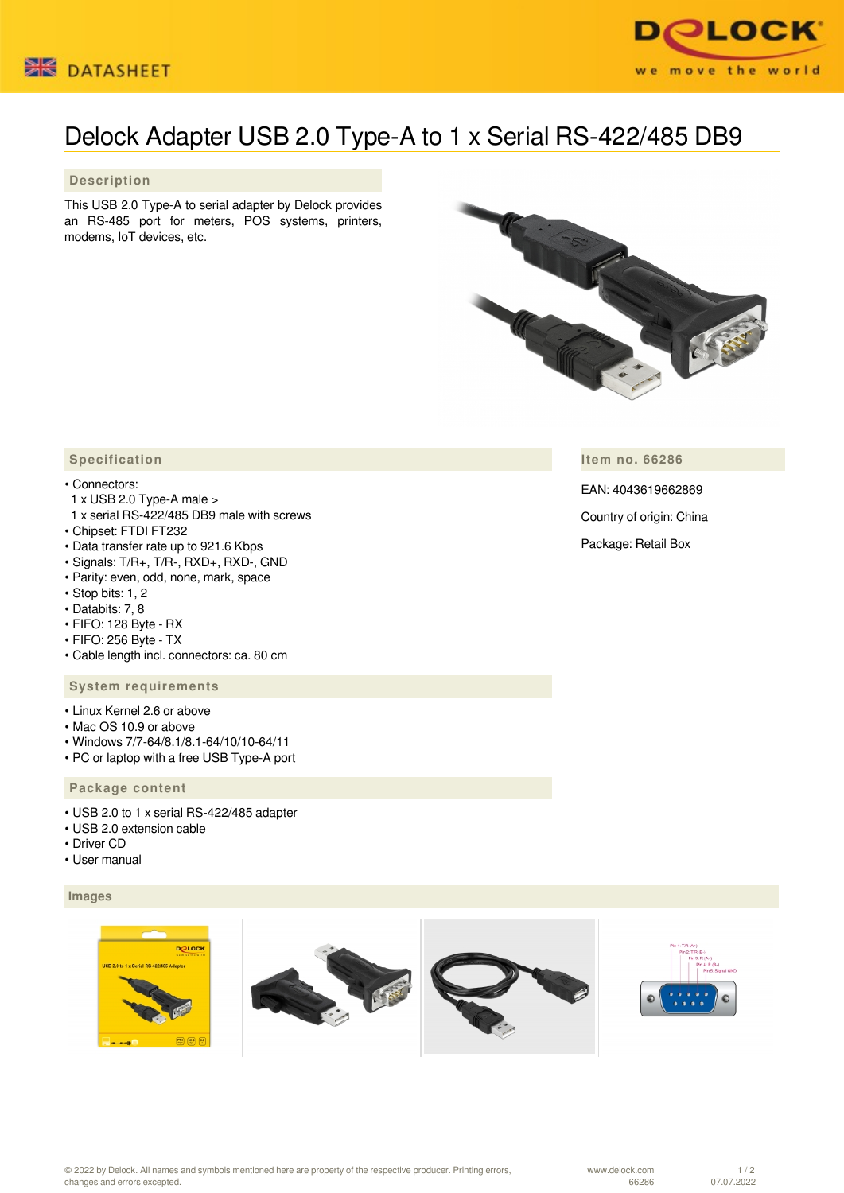



# Delock Adapter USB 2.0 Type-A to 1 x Serial RS-422/485 DB9

## **Description**

This USB 2.0 Type-A to serial adapter by Delock provides an RS-485 port for meters, POS systems, printers, modems, IoT devices, etc.



**Item no. 66286**

EAN: 4043619662869

Country of origin: China

Package: Retail Box

# **Specification**

#### • Connectors:

- 1 x USB 2.0 Type-A male >
- 1 x serial RS-422/485 DB9 male with screws
- Chipset: FTDI FT232
- Data transfer rate up to 921.6 Kbps
- Signals: T/R+, T/R-, RXD+, RXD-, GND
- Parity: even, odd, none, mark, space
- Stop bits: 1, 2
- Databits: 7, 8
- FIFO: 128 Byte RX
- FIFO: 256 Byte TX
- Cable length incl. connectors: ca. 80 cm

### **System requirements**

- Linux Kernel 2.6 or above
- Mac OS 10.9 or above
- Windows 7/7-64/8.1/8.1-64/10/10-64/11
- PC or laptop with a free USB Type-A port

## **Package content**

- USB 2.0 to 1 x serial RS-422/485 adapter
- USB 2.0 extension cable
- Driver CD
- User manual

## **Images**